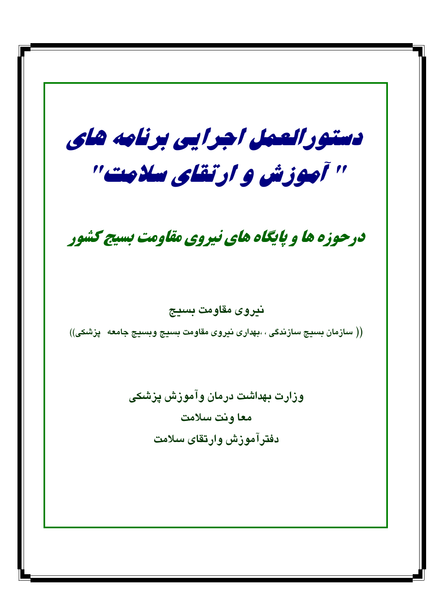دستورالعمل اجرایی برنامه های " آموزش و ارتقای سلامت" درحوزه ها و پایگاه های نیروی مقاومت بسیج کشور نيروى مقاومت بسيج (( سازمان بسیج سازندگی ، ،بهداری نیروی مقاومت بسیج وبسیج جامعه  $\;$ پزشکی)) وزارت بهداشت درمان وآموزش پزشکی معا ونت سلامت دفترآموزش وارتقاى سلامت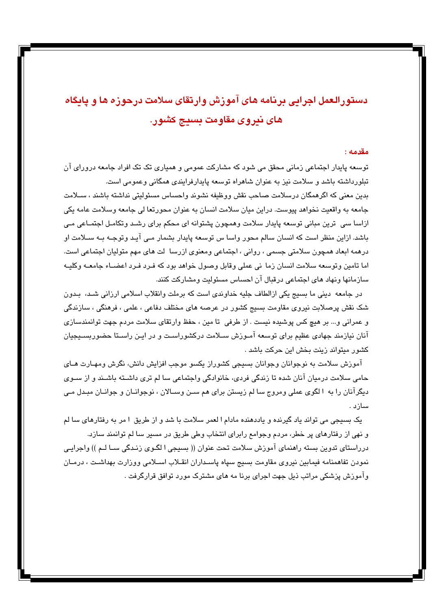# دستورالعمل اجرایی برنامه های آموزش وارتقای سلامت درحوزه ها و پایگاه های نیروی مقاومت بسیج کشور.

#### مقدمه :

توسعه پایدار اجتماعی زمانی محقق می شود که مشارکت عمومی و همپاری تک تک افراد جامعه درورای آن تبلورداشته باشد و سلامت نیز به عنوان شاهراه توسعه پایدارفرایندی همگانی وعمومی است.

بدین معنی که اگرهمگان درسلامت صاحب نقش ووظیفه نشوند واحساس مسئولیتی نداشته باشند ، سـلامت جامعه به واقعیت نخواهد پیوست. دراین میان سلامت انسان به عنوان محورتعا لی جامعه وسلامت عامه یکی ازاسا سی ِ ترین مبانی توسعه پایدار سلامت وهمچون پشتوانه ای محکم برای رشد وتکامـل اجتمـاعی مـی باشد. ازاین منظر است که انسان سالم محور واسا س توسعه پایدار بشمار مـی آیـد وتوجـه بـه سـلامت او درهمه ابعاد همچون سلامتی جسمی ، روانی ، اجتماعی ومعنوی ازرسا ً لت های مهم متولیان اجتماعی است. اما تامين وتوسعه سلامت انسان زما ني عملي وقابل وصول خواهد بود كه فـرد فـرد اعضــاء جامعــه وكليــه سازمانها ونهاد های اجتماعی درقبال آن احساس مسئولیت ومشارکت کنند.

در جامعه دینی ما بسیج یکی ازالطاف جلیه خداوندی است که برملت وانقلاب اسلامی ارزانی شـد، بـدون شک نقش پرصلابت نیروی مقاومت بسیج کشور در عرصه های مختلف دفاعی ، علمی ، فرهنگی ، سازندگی و عمراني و... بر هيچ كس پوشيده نيست . از طرفي تا مين ، حفظ وارتقاى سلامت مردم جهت توانمندسازى آنان نیازمند جهادی عظیم برای توسعه آمـوزش سـلامت درکشوراسـت و در ایـن راسـتا حضوربسـیجیان كشور ميتواند زينت بخش اين حركت باشد .

آموزش سلامت به نوجوانان وجوانان بسیجی کشوراز یکسو موجب افزایش دانش، نگرش ومهـارت هــای حامی سلامت درمیان آنان شده تا زندگی فردی، خانوادگی واجتماعی سا لم تری داشـته باشـند و از سـوی ديگرآنان را به ۱لگوی عملی ومروج سا لم زيستن برای هم سـن وســالان ، نوجوانــان و جوانــان مبـدل مــی سازد .

یک بسیجی می تواند یاد گیرنده و یاددهنده مادام ا لعمر سلامت با شد و از طریق ۱مر به رفتارهای سا لم و نهی از رفتارهای پر خطر، مردم وجوامع رابرای انتخاب وطی طریق در مسیر سا لم توانمند سازد. درراستای تدوین بسته راهنمای آموزش سلامت تحت عنوان (( بسیجی ا لگـوی زنـدگی ســا لـم )) واجرایـی نمودن تفاهمنامه فيمابين نيروى مقاومت بسيج سپاه پاسداران انقلاب اسلامي ووزارت بهداشت ، درمـان وآموزش پزشکی مراتب ذیل جهت اجرای برنا مه های مشترک مورد توافق قرارگرفت .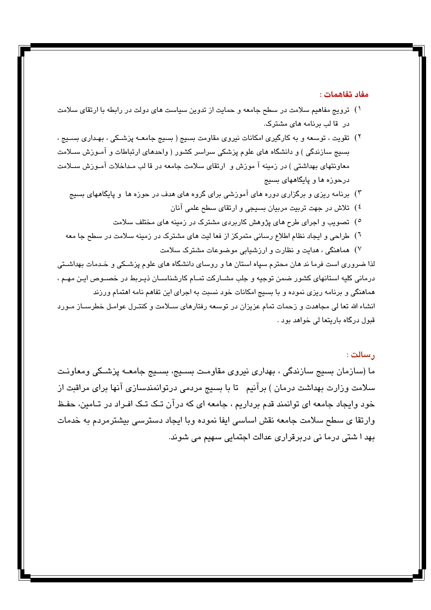#### مفاد تفاهمات :

- ۱) ترویج مفاهیم سلامت در سطح جامعه و حمایت از تدوین سیاست های دولت در رابطه با ارتقای سلامت در قا لب برنامه های مشترک.
- ۲) تقویت ، توسعه و به کارگیری امکانات نیروی مقاومت بسیج ( بسیج جامعــه پزشــکی ، بهـداری بســیج ، بسیج سازندگی ) و دانشگاه های علوم پزشکی سراسر کشور ( واحدهای ارتباطات و آمـوزش ســلامت معاونتهای بهداشتی ) در زمینه آ موزش و ارتقای سلامت جامعه در قا لب مـداخلات آمـوزش سـلامت درحوزه ها و پایگاههای بسیج
	- ۳) برنامه ریزی و برگزاری دوره های آموزشی برای گروه های هدف در حوزه ها و پایگاههای بسیج
		- <sup>٤</sup>) تلاش در جهت تربیت مربیان بسیجی و ارتقای سطح علمی آنان
		- °) تصویب و اجرای طرح های پژوهش کاربردی مشترک در زمینه های مختلف سلامت
	- <sup>٦</sup>) طراحی و ایجاد نظام اطلاع رسانی متمرکز از فعا لیت های مشترک در زمینه سلامت در سطح جا معه
		- ۷) هماهنگی ، هدایت و نظارت و ارزشیایی موضوعات مشترک سلامت

لذا ضروری است فرما ند هان محترم سپاه استان ها و روسای دانشگاه های علوم پزشـکی و خـدمات بهداشـتی درمانی کلیه استانهای کشور ضمن توجیه و جلب مشـارکت تمـام کارشناسـان ذیـربط در خصـوص ایـن مهـم ، هماهنگی و برنامه ریزی نموده و با بسیج امکانات خود نسبت به اجرای این تفاهم نامه اهتمام ورزند انشاء الله تعا لی مجاهدت و زحمات تمام عزیزان در توسعه رفتارهای سـلامت و کنتـرل عوامـل خطرسـاز مـورد قبول درگاه باریتعا لی خواهد بود .

#### , سالت :

ما (سازمان بسیج سازندگی ، بهداری نیروی مقاومت بسـیج، بسـیج جامعـه پزشـکی ومعاونـت سلامت وزارت بهداشت درمان ) برآنیم ِ تا با بسیج مردمی درتوانمندسازی آنها برای مراقبت از خود وایجاد جامعه ای توانمند قدم برداریم ، جامعه ای که درآن تـک تـک افـراد در تـامین، حفـظ وارتقا ی سطح سلامت جامعه نقش اساسی ایفا نموده وبا ایجاد دسترسی بیشترمردم به خدمات بھد ا شتی درما نی دربرقراری عدالت اجتمایی سھیم می شوند.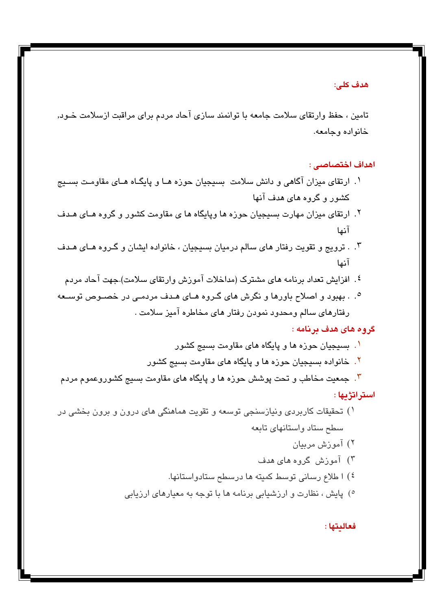هدف كلي:

تامین ، حفظ وارتقای سلامت جامعه با توانمند سازی آحاد مردم برای مراقبت ازسلامت خـود, خانواده وجامعه.

اهداف اختصاصى :

- ۱. ارتقای میزان آگاهی و دانش سلامت بسیجیان حوزه هـا و پایگـاه هـای مقاومـت بسـیج کشور و گروه های هدف آنها
- ۲. ارتقای میزان مهارت بسیجیان حوزه ها ویایگاه ها ی مقاومت کشور و گروه هـای هـدف آنها
- ۰. ترويج و تقويت رفتار هاي سالم درميان بسيجيان ، خانواده ايشان و گـروه هـاي هـدف آنها
	- <sup>٤</sup>. افزایش تعداد برنامه های مشترک (مداخلات آموزش وارتقای سلامت).جهت آحاد مردم
- ۰. . بهبود و اصلاح باورها و نگرش های گـروه هـای هـدف مردمـی در خصـوص توسـعه رفتارهای سالم ومحدود نمودن رفتار های مخاطره آمیز سلامت .

### گروه های هدف برنامه :

- ا . بسیجیان حوزه ها و پایگاه های مقاومت بسیج کشور
- ۲. خانواده بسیجیان حوزه ها و پایگاه های مقاومت بسیج کشور

۳. جمعیت مخاطب و تحت پوشش حوزه ها و پایگاه های مقاومت بسیج کشوروعموم مردم استراتژیها :

- ۱) تحقیقات کاربردی ونیازسنجی توسعه و تقویت هماهنگی های درون و برون بخشی در سطح ستاد واستانهای تابعه
	- ۲) آموزش مربیان
	- ۳) آموزش گروه های هدف
	- ٤) ا طلاع رسانی توسط کمیته ها درسطح ستادواستانها.
	- °) پایش ، نظارت و ارزشیابی برنامه ها با توجه به معیارهای ارزیابی

فعالىتها :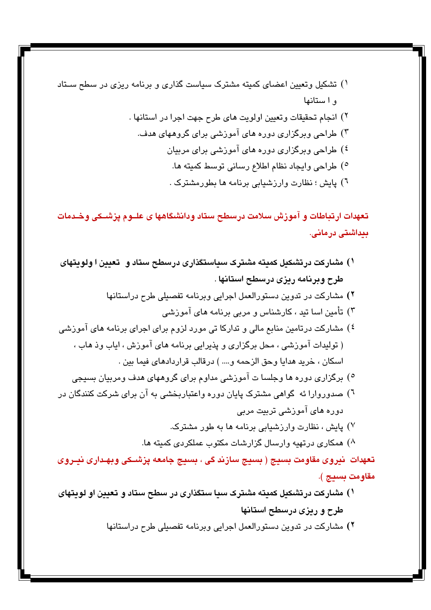- ۱) تشکیل وتعیین اعضای کمیته مشترک سیاست گذاری و برنامه ریزی در سطح ستاد واستانها
	- ٢) انجام تحقيقات وتعيين اولويت هاي طرح جهت اجرا در استانها . ۳) طراحی وبرگزاری دوره های آموزشی برای گروههای هدف. <sup>٤</sup>) طراحی وبرگزاری دوره های آموزشی برای مربیان ٥) طراحي وايجاد نظام اطلاع رساني توسط كميته ها.
		- ٦) پايش ؛ نظارت وارزشيابي برنامه ها بطورمشترک .

تعهدات ارتباطات و آموزش سلامت درسطح ستاد ودانشگاهها ی علــوم پزشــكی وخــدمات بیداشتی درمانی.

- ۱) مشارکت درتشکیل کمیته مشترک سیاستگذاری درسطح ستاد و تعیین ا ولویتهای طرح وبرنامه ريزي درسطح استانها . ۲) مشارکت در تدوین دستورالعمل اجرایی وبرنامه تفصیلی طرح دراستانها ۳) تأمین اسا تید ، کارشناس و مربی برنامه های آموزشی <sup>٤</sup>) مشارکت درتامین منابع مالی و تدارکا تی مورد لزوم برای اجرای برنامه های آموزشی ( تولیدات آموزشی ، محل برگزاری و پذیرایی برنامه های آموزش ، ایاب وذ هاب ، اسكان ، خريد هدايا وحق الزحمه و.... ) درقالب قراردادهاى فيما بين . °) برگزاری دوره ها وجلسا ت آموزشی مداوم برای گروههای هدف ومربیان بسیجی ٦) صدوروارا ئه گواهی مشترک پایان دوره واعتباربخشی به آن برای شرکت کنندگان در دورہ ھای آموزشی تربیت مربی ۷) پایش ، نظارت وارزشیابی برنامه ها به طور مشترک. ^) همکاری درتهیه وارسال گزارشات مکتوب عملکردی کمیته ها. تعهدات نيروي مقاومت بسيج ( بسيج سازند کي ، بسيج جامعه پزشــکي وبهـداري نيــروي مقاومت بسيج ).
- ۱) مشارکت درتشکیل کمیته مشترک سیا ستگذاری در سطح ستاد و تعیین او لویتهای طرح و ریزی درسطح استانها
	- ۲) مشارکت در تدوین دستورالعمل اجرایی وبرنامه تفصیلی طرح دراستانها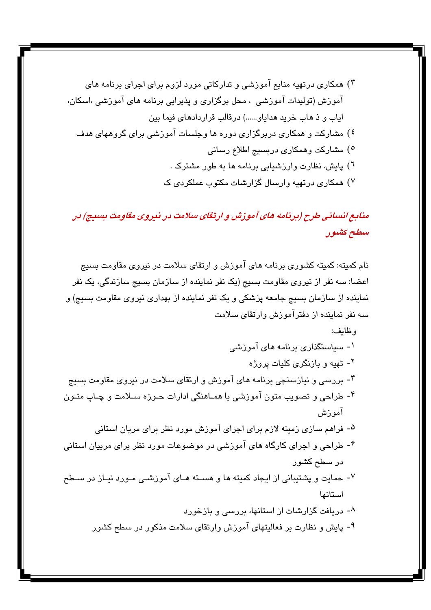- ٦) پایش، نظارت وارزشیابی برنامه ها به طور مشترک .
- ۷) همکاری درتهیه وارسال گزارشات مکتوب عملکردی ک

منابع انسانی طرح (برنامه های آموزش و ارتقای سلامت در نیروی مقاومت بسیج) در سطح کشور

نام کمیته: کمیته کشوری برنامه های آموزش و ارتقای سلامت در نیروی مقاومت بسیج اعضا: سه نفر از نیروی مقاومت بسیج (یک نفر نماینده از سازمان بسیج سازندگی، یک نفر نماینده از سازمان بسیج جامعه پزشکی و یک نفر نماینده از بهداری نیروی مقاومت بسیج) و سه نفر نماینده از دفترآموزش وارتقای سلامت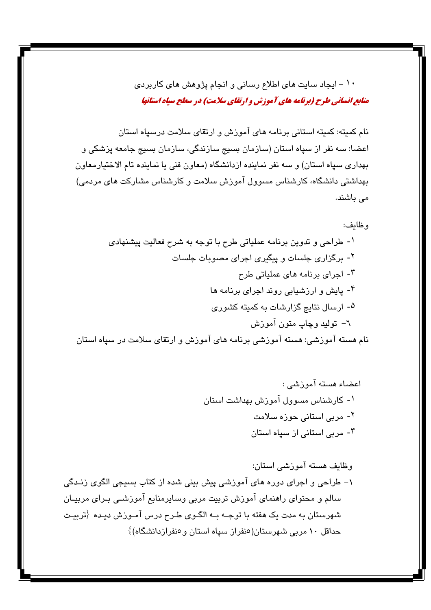۱۰ - ایجاد سایت های اطلاع رسانی و انجام پژوهش های کاربردی منابع انسانی طرح (برنامه های آموزش و ارتقای سلامت) در سطح سیاه استانها

نام کمیته: کمیته استانی برنامه های آموزش و ارتقای سلامت درسپاه استان اعضا: سه نفر از سپاه استان (سازمان بسیج سازندگی، سازمان بسیج جامعه پزشکی و بهداری سپاه استان) و سه نفر نماینده ازدانشگاه (معاون فنی یا نماینده تام الاختیارمعاون بهداشتی دانشگاه، کارشناس مسوول آموزش سلامت و کارشناس مشارکت های مردمی) می باشند.

وظايف هسته آموزشى استان: ۱– طراحی و اجرای دوره های آموزشی پیش بینی شده از کتاب بسیجی الگوی زنـدگی سالم و محتوای راهنمای آموزش تربیت مربی وسایرمنابع آموزشـی بـرای مربیـان شهرستان به مدت یک هفته با توجـه بـه الگـوی طـرح درس آمـوزش دیـده {تربیـت حداقل ۱۰ مربی شهرستان(منفراز سپاه استان و منفرازدانشگاه)}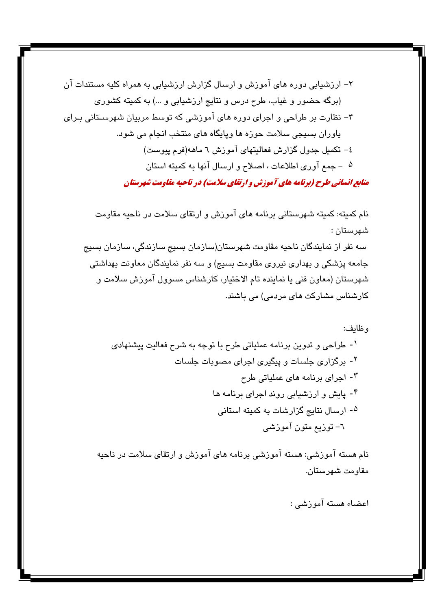نام كميته: كميته شهرستاني برنامه هاي آموزش و ارتقاي سلامت در ناحيه مقاومت شهرستان : سه نفر از نمایندگان ناحیه مقاومت شهرستان(سازمان بسیج سازندگی، سازمان بسیج جامعه پزشکی و بهداری نیروی مقاومت بسیج) و سه نفر نمایندگان معاونت بهداشتی شهرستان (معاون فنی یا نماینده تام الاختیار، کارشناس مسوول آموزش سلامت و کارشناس مشارکت های مردمی) می باشند.

نام هسته آموزشی: هسته آموزشی برنامه های آموزش و ارتقای سلامت در ناحیه مقاومت شهرستان.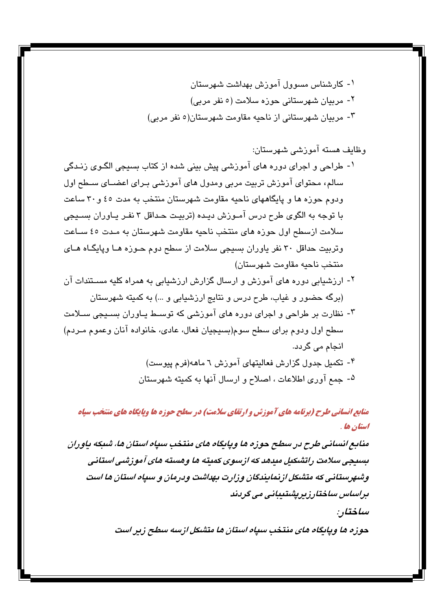- ۱- طراحی و اجرای دوره های آموزشی پیش بینی شده از کتاب بسیجی الگـوی زنـدگی سالم، محتوای آموزش تربیت مربی ومدول های آموزشی بـرای اعضــای ســطح اول ودوم حوزه ها و پایگاههای ناحیه مقاومت شهرستان منتخب به مدت ٤٥ و ٣٠ ساعت با توجه به الگوی طرح درس آمـوزش دیـده (تربیـت حـداقل ۳ نفـر یــاوران بسـیجی سلامت ازسطح اول حوزه های منتخب ناحیه مقاومت شهرستان به مـدت ٤٥ سـاعت وتربیت حداقل ۳۰ نفر یاوران بسیجی سلامت از سطح دوم حـوزه هــا وپایگــاه هــای منتخب ناحيه مقاومت شهرستان)
- ۲- ارزشیابی دوره های آموزش و ارسال گزارش ارزشیابی به همراه کلیه مسـتندات آن (برگه حضور و غیاب، طرح درس و نتایج ارزشیابی و …) به کمیته شهرستان
- ۳- نظارت بر طراحی و اجرای دوره های آموزشی که توسیط پیاوران بسیجی سیلامت سطح اول ودوم براي سطح سوم(بسيجيان فعال، عادي، خانواده آنان وعموم مـردم) انجام می گردد.
	- ۴- تکمیل جدول گزارش فعالیتهای آموزش ٦ ماهه(فرم پیوست) ۵- جمع آوري اطلاعات ، اصلاح و ارسال آنها به کمیته شهرستان

منابع انسانی طرح (برنامه های آموزش و ارتقای سلامت) در سطح حوزه ها ویایگاه های منتخب سیاه استان ها .

منابع انسانی طرح در سطح حوزه ها ویابگاه های منتخب سیاه استان ها، شبکه باوران بسیجی سلامت راتشکیل میدهد که ازسوی کمیته ها وهسته های آموزشی استانی وشهرستانی که متشکل از نمایندگان وزارت بهداشت ودرمان و سیاه استان ها است براساس ساختارزيريشتيباني مي گرياند

ساختار :

حوزه ها ویایگاه های منتخب سیاه استان ها متشکل ازسه سطح زیر است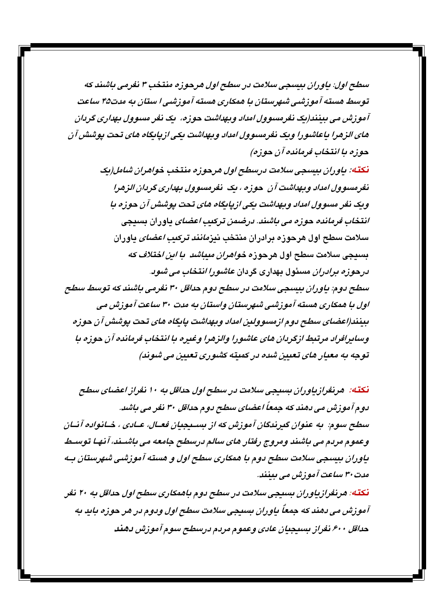سطح اول: پاوړان پېښچې سلامت در سطح اول هرچوزه منتخب ۳ نفرمي باشند که توسط هسته آموزشی شهرستان با همکاری هسته آموزشی ا ستان به مدت۴۵ ساعت آموزش می بینند(یک نفرمسوول امداد ویهداشت حوزه، یک نفر مسوول بهداری گردان های الزهرا باعاشورا ویک نفرمسوول امداد وبهداشت یکی ازپایگاه های تحت پوشش آن حوزه با انتخاب فرمانده آن حوزه)

نکته: پاوران بیسچی سلامت درسطح اول هرچوزه منتخب خواهران شامل(یک نفرمسوول امداد وبهداشت آن حوزه ، یک نفرمسوول بهداری گردان الزهرا ویک نفر مسوول امداد وبهداشت یکی از پایگاه های تحت یوشش آن حوزه با انتخاب فرمانده حوزه می باشند. درضمن ترکیب اعضای یاوران بسیجی سلامت سطح اول هرحوزه برادران منتخب نیز*مانند ترکیب اعضای* یاوران بسیجی سلامت سطح اول هرحوزه *خواهران میباشد با این اختلاف که* درحوزه برادران مسئول بهداری گردان عاشورا انتخاب می شود. سطح دوم: پاوران بیسجی سلامت در سطح دوم حداقل ۳۰ نفرمی باشند که توسط سطح اول با همکاری هسته آموزشی شهرستان واستان به مدت ۳۰ ساعت آموزش می بينند(اعضاي سطح دوم ازمسوولين امداد وبهداشت بايگاه هاي تحت پوشش آن حوزه وسايرافراد مرتبط ازگردان هاي عاشورا والزهرا وغيره با انتخاب فرمانده آن حوزه با توجه به معبار مای تعبین شده در کمیته کشوری تعبین می شوند)

نکته: هرنغرازیاوران بسیجی سلامت در سطح اول حداقل به ۱۰ نغراز اعضای سطح دوم آموزش می دهند که جمعاً اعضای سطح دوم حداقل ۳۰ نفر می باشد. سطح سوم: په عنوان ګېرندګان آموزش که از سيېدېدان فعـال، عـادي ، خـانواده آنـان وعموم مردم می باشند ومروج رفتار های سالم درسطح جامعه می باشـند، آنهـا توسـط یاوران بیسجی سلامت سطح دوم با همکاری سطح اول و هسته آموزشی شهرستان بـه مدت ۳۰ ساعت آموزش می بینند.

نکته: هرنغرازیاوران بسیجی سلامت در سطح دوم باهمکاری سطح اول حداقل به ۲۰ نفر آموزش می دهند که جمعاً باوران بسیجی سلامت سطح اول ودوم در هر حوزه باید به حداقل ۶۰۰ نفراز بسيجيان عادى وعموم مردم درسطح سوم آموزش دهند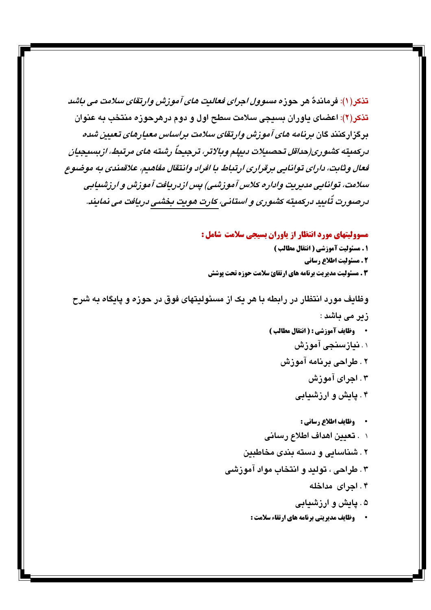تذكر (۱): فرماندهٌ هر حوزه *مسوول اجراى فعاليت هاى آموزش وارتقاى سلامت مى باشد* تذکر(۲): اعضای یاوران بسیجی سلامت سطح اول و دوم درهرحوزه منتخب به عنوان برگزارکنند گان برنامه *های آموزش وارتقای سلامت براساس معیارهای تعیین شده* دركميته كشوري(حداقل تحصيلات دبيلم وبالاتر، ترجيحاً رشته هاي مرتبط، ازبسيجيان قعال وثابت، دارای توانایی برقراری ارتباط با افراد وانتقال مفاهیم، علاقمندی به موضوع سلامت، توانایی مدیریت واداره کلاس آموزشی) پس ازدریافت آموزش و ارزشیابی درصورت تُابيد دركميته كشئورى و استانى، كارت هويت بخشىى دريافت مى نمايند.

مسوولیتهای مورد انتظار از یاوران بسیجی سلامت شامل :

1 . مسئوليت آموزشي ( انتقال مطالب ) 2 . مسئولیت اطلاع رسانی 3 . مسئولیت مدیریت برنامه های ارتقائ سلامت حوزه تحت یوشش

وظایف مورد انتظار در رابطه با هر یک از مسئولیتهای فوق در حوزه و پایگاه به شرح زیر می باشد : وظايف آموزشي : ( انتقال مطالب ) ۱. **نیازسنجی آموزش** ۲ . طراحی برنامه آموزش ۴. اجرای آموزش ۴. یایش و ارزشیابی · وظايف اطلاع رساني : ۱ . **تعيي**ن اهداف اطلاع رساني ۲ . شناسایی و دسته بندی مخاطبین ۳. طراحی ، تولید و انتخاب مواد آموزشی ۴. اجرای مداخله ۵ . یایش و ارزشیابی

**· وظایف مدیریتی برنامه های ارتقاء سلامت :**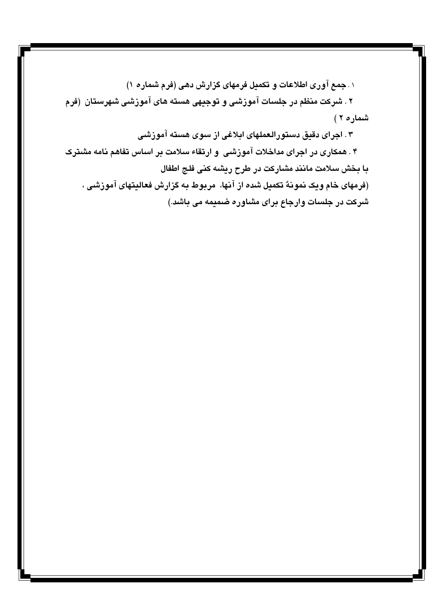۰ ـ جمع آوري اطلاعات و تكميل فرمهاي گزارش دهي (فرم شماره ۱)

۲ . شرکت منظم در جلسات آموزشی و توجیهی هسته های آموزشی شهرستان (فرم شماره ۲)

۳ . اجرای دقیق دستورالعملهای ابلاغی از سوی هسته آموزشی

۴ . همکاری در اجرای مداخلات آموزشی و ارتقاء سلامت بر اساس تفاهم نامه مشترک با بخش سلامت مانند مشاركت در طرح ريشه كنى فلج اطفال (فرمهای خام ویک نمونهٌ تکمیل شده از آنها، مربوط به گزارش فعالیتهای آموزشی ، شرکت در جلسات وارجاع برای مشاوره ضمیمه می باشد.)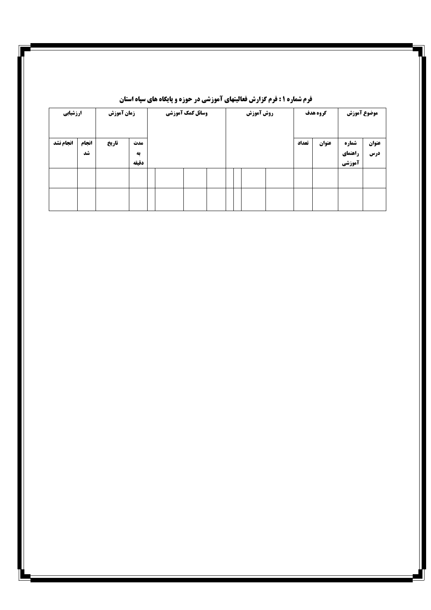| ارزشيابي  |             | زمان آموزش |                    |  | وسائل کمک آموزشی | روش آموزش |  |  |  |       | گروه هدف | موضوع آموزش                |              |
|-----------|-------------|------------|--------------------|--|------------------|-----------|--|--|--|-------|----------|----------------------------|--------------|
| انجام نشد | انجام<br>شد | تاريخ      | مدت<br>به<br>دقيقه |  |                  |           |  |  |  | تعداد | عنوان    | شماره<br>راهنمای<br>آموزشي | عنوان<br>درس |
|           |             |            |                    |  |                  |           |  |  |  |       |          |                            |              |
|           |             |            |                    |  |                  |           |  |  |  |       |          |                            |              |

### **فرم شماره ۱: فرم گزارش فعالیتهای آموزشی در حوزه و پایگاه های سپاه استان**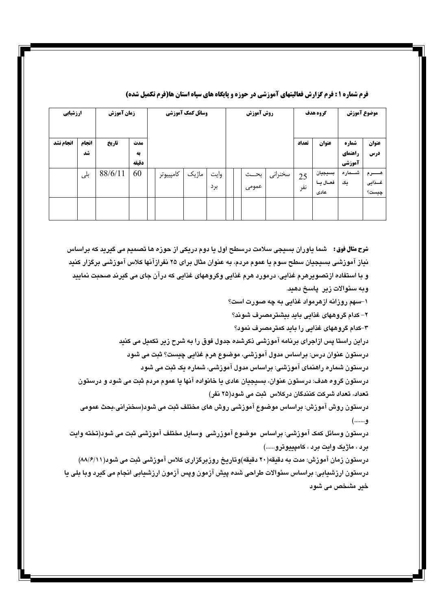| ارزشيابي  |       | زمان آموزش |       |           | وسائل کمک آموزشی |      |  | روش آموزش |         |       | گروه هدف          | موضوع آموزش |                   |
|-----------|-------|------------|-------|-----------|------------------|------|--|-----------|---------|-------|-------------------|-------------|-------------------|
| انجام نشد | انجام | تاريخ      | مدت   |           |                  |      |  |           |         | تعداد | عنوان             | شماره       | عنوان             |
|           | شد    |            | به    |           |                  |      |  |           |         |       |                   | راهنمای     | درس               |
|           |       |            | دقىقە |           |                  |      |  |           |         |       |                   | آموزشي      |                   |
|           | بلی   | 88/6/11    | 60    | كامپييوتر | ماژیک            | وايت |  | بحــث     | سخنراني | 25    | بسيجيان           | شـــماره    | هـــــــــرم      |
|           |       |            |       |           |                  | برد  |  | عمومى     |         | نفر   | فعـال يـا<br>عادى | یک          | غـــذايى<br>چیست؟ |
|           |       |            |       |           |                  |      |  |           |         |       |                   |             |                   |
|           |       |            |       |           |                  |      |  |           |         |       |                   |             |                   |

#### فرم شماره ۱ : فرم گزارش فعالیتهای آموزشی در حوزه و پایگاه های سپاه استان ها(فرم تکمیل شده)

**شرح مثال فوق:** شما یاوران بسیجی سلامت درسطح اول یا دوم دریکی از حوزه ها تصمیم می گیرید که براساس نیاز آموزشی بسیجیان سطح سوم یا عموم مردم، به عنوان مثال برای ۲۵ نفرازآنها کلاس آموزشی برگزار کنید و با استفاده ازتصویرهرم غذایی، درمورد هرم غذایی وگروههای غذایی که درآن جای می گیرند صحبت نمایید وبه سئوالات زير. پاسخ دهيد.

۱–سهم روزانه ازهرمواد غذایی به چه صورت است؟

۲– کدام گروههای غذایی باید بیشترمصرف شوند؟

۳–کدام گروههای غذایی را باید کمترمصرف نمود؟

دراین راستا پس ازاجرای برنامه آموزشی ذکرشده جدول فوق را به شرح زیر تکمیل می کنید درستون عنوان درس: براساس مدول آموزشی، موضوع هرم غذایی چیست؟ ثبت می شود درستون شماره راهنمای آموزشی: براساس مدول آموزشی، شماره یک ثبت می شود

درستون گروه هدف: درستون عنوان، بسیجیان عادی یا خانواده آنها یا عموم مردم ثبت می شود و درستون تعداد، تعداد شرکت کنندگان درکلاس ثبت می شود(۲۵ نفر)

درستون روش آموزش: براساس موضوع آموزشی روش های مختلف ثبت می شود(سخنرانی،بحث عمومی و.......)

درستون وسائل کمک آموزشی: براساس موضوع آموزرشی وسایل مختلف آموزشی ثبت می شود(تخته وایت برد ، ماژیک وایت برد ، کامپییوترو......)

درستون زمان آموزش: مدت به دقیقه(۲۰ دقیقه)وتاریخ روزبرگزاری کلاس آموزشی ثبت می شود(۸۸/۶/۱۱) درستون ارزشيابي: براساس سئوالات طراحي شده پيش آزمون ويس آزمون ارزشيابي انجام مي گيرد وبا بلي يا خير مشخص مي شود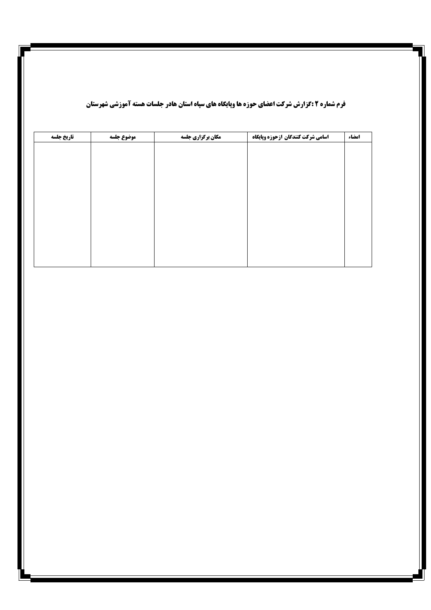| تاريخ جلسه | موضوع جلسه | مکان برگزاری جلسه | اسامي شركت كنندكان ازحوزه وپايكاه | امضاء |
|------------|------------|-------------------|-----------------------------------|-------|
|            |            |                   |                                   |       |
|            |            |                   |                                   |       |
|            |            |                   |                                   |       |
|            |            |                   |                                   |       |
|            |            |                   |                                   |       |
|            |            |                   |                                   |       |
|            |            |                   |                                   |       |
|            |            |                   |                                   |       |
|            |            |                   |                                   |       |
|            |            |                   |                                   |       |
|            |            |                   |                                   |       |

### **فرم شماره ۲ :گزارش شرکت اعضای حوزه ها وپایگاه های سپاه استان هادر جلسات هسته آموزشی شهرستان**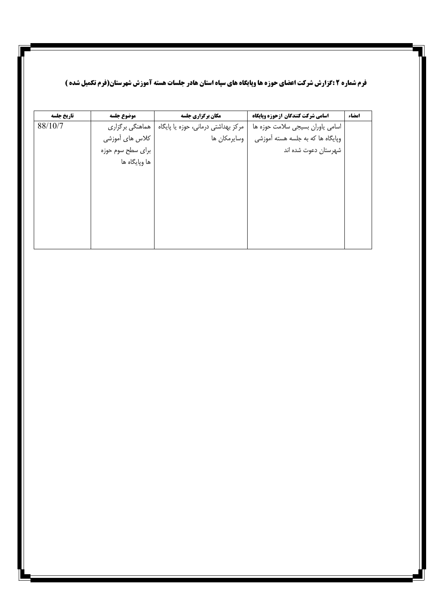### **ً فرم شماره ۲ :گزارش شرکت اعضای حوزه ها وپایگاه های سپاه استان هادر جلسات هسته آموزش شهرستان(فرم تکمیل شده )**

| تاريخ جلسه | موضوع جلسه        | مکان برگزاری جلسه                   | اسامي شركت كنندكان ازحوزه وپايگاه | امضاء |
|------------|-------------------|-------------------------------------|-----------------------------------|-------|
| 88/10/7    | هماهنگی برگزاری   | مرکز بهداشتی درمانی، حوزه یا پایگاه | اسامی یاوران بسیجی سلامت حوزه ها  |       |
|            | كلاس هاى أموزشى   | وسايرمكان ها                        | وپایگاه ها که به جلسه هسته آموزشی |       |
|            | برای سطح سوم حوزه |                                     | شهرستان دعوت شده اند              |       |
|            | ها وپايگاه ها     |                                     |                                   |       |
|            |                   |                                     |                                   |       |
|            |                   |                                     |                                   |       |
|            |                   |                                     |                                   |       |
|            |                   |                                     |                                   |       |
|            |                   |                                     |                                   |       |
|            |                   |                                     |                                   |       |
|            |                   |                                     |                                   |       |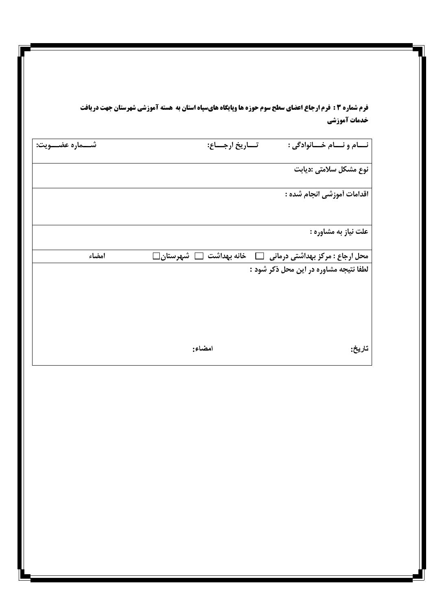**فرم شماره 3 : فرم ارجاع اعضای سطح سوم حوزه ها وپایگاه هایسپاه استان به هسته آموزشی شهرستان جهت دریافت** خدمات آموزشي

| شــــماره عضــــويت: | تــــاريخ ارجـــــاع:             | نــام و نــام خــانوادگى :             |
|----------------------|-----------------------------------|----------------------------------------|
|                      |                                   | نوع مشكل سلامتى :ديابت                 |
|                      |                                   | اقدامات أموزشي انجام شده :             |
|                      |                                   | علت نياز به مشاوره :                   |
| امضاء                | $\Box$ خانه بهداشت $\Box$ شهرستان | محل ارجاع : مرکز بهداشتی درمانی        |
|                      |                                   | لطفا نتیجه مشاوره در این محل ذکر شود : |
|                      | امضاء:                            | تاريخ:                                 |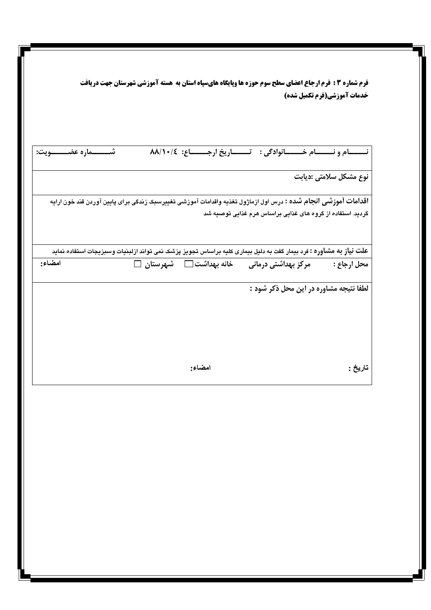| خدمات آموزشی(فرم تکمیل شده)                                         | فرم شماره 3 : فرم ارجاع اعضای سطح سوم حوزه ها وپایگاه هایسپاه استان به هسته آموزشی شهرستان جهت دریافت                     |
|---------------------------------------------------------------------|---------------------------------------------------------------------------------------------------------------------------|
|                                                                     |                                                                                                                           |
| نـــــام ونــــــام خـــــانوادگی : تـــــاریخ ارجــــــاع: ٨٨/١٠/٤ | شــــــــــــماره عضـــــــــــــويت:                                                                                     |
| نوع مشكل سلامتي :ديابت                                              |                                                                                                                           |
| گرديد. استفاده از گروه های غذايی براساس هرم غذايی توصيه شد          | <b>اقدامات آموزشی انجام شده :</b> درس اول ازماژول تغذیه واقدامات آموزشی تغییرسبک زندگی برای پایین آوردن قند خون ارایه     |
|                                                                     |                                                                                                                           |
|                                                                     | <b>علت نیاز به مشاوره :</b> فرد بیمار گفت به دلیل بیماری کلیه براساس تجویز پزشک نمی تواند ازلبنیات وسبزیجات استفاده نماید |
| مرکز بهداشتی درمانی                                                 | امضاء:<br>خانه بهداشت □ شهرستان □                                                                                         |
|                                                                     |                                                                                                                           |
|                                                                     |                                                                                                                           |
| محل ارجاع :<br>لطفا نتيجه مشاوره در اين محل ذكر شود :<br>تاريخ :    | امضاء:                                                                                                                    |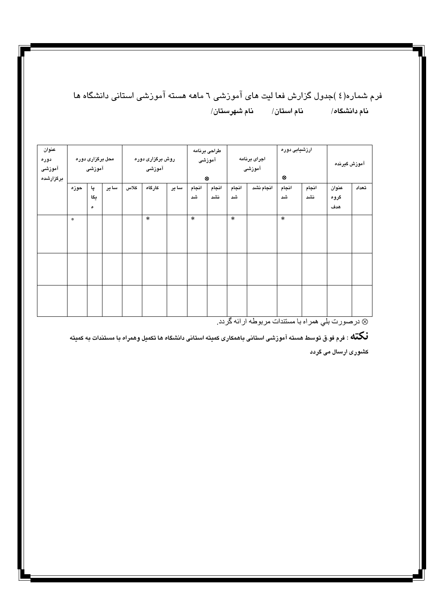## فرم شماره(٤)جدول گزارش فعا لیت های آموزشی ٦ ماهه هسته آموزشی استانی دانشگاه ها

| عنوان     |                  |     |       |                  |        |       | طراحى برنامه |                        |        |           | ارزشیابی دوره |       |              |       |
|-----------|------------------|-----|-------|------------------|--------|-------|--------------|------------------------|--------|-----------|---------------|-------|--------------|-------|
| دوره      | محل برگزاری دوره |     |       | روش برگزاری دوره |        |       |              | اجراى برنامه<br>آموزشی |        |           |               |       | آموزش گيرنده |       |
| آموزشی    | آموزشی           |     |       |                  | آموزشی |       |              |                        |        | آموزشی    |               |       |              |       |
| برگزارشده |                  |     |       |                  |        |       |              | $\otimes$              |        |           | ⊗             |       |              |       |
|           | حوزه             | پا  | سا ير | كلاس             | كارگاه | سا ير | انجام        | انجام                  | انجام  | انجام نشد | انجام         | انجام | عنوان        | تعداد |
|           |                  | يگا |       |                  |        |       | شى           | نشد                    | شد     |           | شد            | نشد   | گروه         |       |
|           |                  | ٥   |       |                  |        |       |              |                        |        |           |               |       | هدف          |       |
|           | $\pm$            |     |       |                  | $\ast$ |       | $\ast$       |                        | $\ast$ |           | $\ast$        |       |              |       |
|           |                  |     |       |                  |        |       |              |                        |        |           |               |       |              |       |
|           |                  |     |       |                  |        |       |              |                        |        |           |               |       |              |       |
|           |                  |     |       |                  |        |       |              |                        |        |           |               |       |              |       |
|           |                  |     |       |                  |        |       |              |                        |        |           |               |       |              |       |
|           |                  |     |       |                  |        |       |              |                        |        |           |               |       |              |       |
|           |                  |     |       |                  |        |       |              |                        |        |           |               |       |              |       |
|           |                  |     |       |                  |        |       |              |                        |        |           |               |       |              |       |
|           |                  |     |       |                  |        |       |              |                        |        |           |               |       |              |       |
|           |                  |     |       |                  |        |       |              |                        |        |           |               |       |              |       |

& درصورت بلی همراه با مستندات مربوطه ارائه گردد.

.<br>**نگنه** : فرم فو.ق توسط هسته آموزشی استانی باهمکاری کمیته استانی دانشگاه ها تکمیل وهمراه با مستندات به کمیته کشوری ارسال می گردد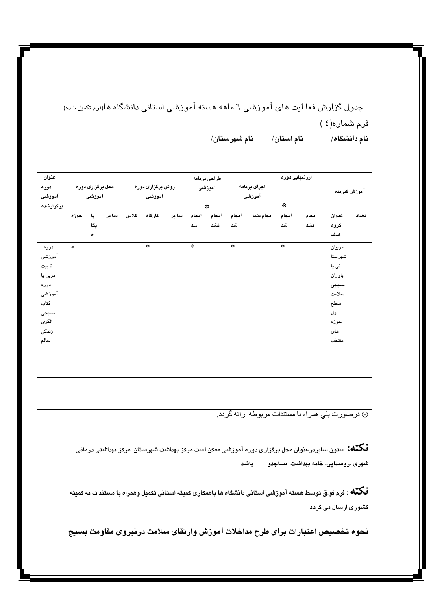جدول گزارش فعا لیت های آموزشی ٦ ماهه هسته آموزشی استانی دانشگاه ها(درم تکمیل شده) فرم شماره(٤)

> نام دانشگاه/

| عنوان     |               |                  |        |      |                  | طراحى برنامه |        |           | ارزشیابی دوره |              |           |       |              |       |
|-----------|---------------|------------------|--------|------|------------------|--------------|--------|-----------|---------------|--------------|-----------|-------|--------------|-------|
| دوره      |               | محل برگزاری دوره |        |      | روش برگزاری دوره |              |        | آموزشی    |               | اجراى برنامه |           |       | آموزش گیرنده |       |
| آموزشی    | آموزشی        |                  | آموزشی |      |                  | آموزشی       |        |           |               |              |           |       |              |       |
| برگزارشده |               |                  |        |      |                  |              |        | $\otimes$ |               |              | $\otimes$ |       |              |       |
|           | حوزه          | پا               | سا ير  | كلاس | كارگاه           | سا ير        | انجام  | انجام     | انجام         | انجام نشد    | انجام     | انجام | عنوان        | تعداد |
|           |               | يگا              |        |      |                  |              | شد     | نشد       | شى            |              | شى        | نشد   | گروه         |       |
|           |               | ۰                |        |      |                  |              |        |           |               |              |           |       | هدف          |       |
| دوره      | $\frac{1}{2}$ |                  |        |      | $\ast$           |              | $\ast$ |           | $\ast$        |              | $\ast$    |       | مربيان       |       |
| أموزشى    |               |                  |        |      |                  |              |        |           |               |              |           |       | شهرستا       |       |
| تربيت     |               |                  |        |      |                  |              |        |           |               |              |           |       | نی یا        |       |
| مربى يا   |               |                  |        |      |                  |              |        |           |               |              |           |       | ياوران       |       |
| دوره      |               |                  |        |      |                  |              |        |           |               |              |           |       | بسيجى        |       |
| آموزشى    |               |                  |        |      |                  |              |        |           |               |              |           |       | سلامت        |       |
| كتاب      |               |                  |        |      |                  |              |        |           |               |              |           |       | سطح          |       |
| بسيجى     |               |                  |        |      |                  |              |        |           |               |              |           |       | اول          |       |
| الگوی     |               |                  |        |      |                  |              |        |           |               |              |           |       | حوزه         |       |
| زندگی     |               |                  |        |      |                  |              |        |           |               |              |           |       | های          |       |
| سالم      |               |                  |        |      |                  |              |        |           |               |              |           |       | منتخب        |       |
|           |               |                  |        |      |                  |              |        |           |               |              |           |       |              |       |
|           |               |                  |        |      |                  |              |        |           |               |              |           |       |              |       |
|           |               |                  |        |      |                  |              |        |           |               |              |           |       |              |       |
|           |               |                  |        |      |                  |              |        |           |               |              |           |       |              |       |
|           |               |                  |        |      |                  |              |        |           |               |              |           |       |              |       |
|           |               |                  |        |      |                  |              |        |           |               |              |           |       |              |       |

⊗ در صورت بلي همراه با مستندات مربوطه ارائه گردد.

**نـُـكنّـه:** ستون سایردرعنوان محل برگزاری دوره آموزشی ممکن است مرکز بهداشت شهرستان، مرکز بهداشتی درمانی شهری ،روس**تایی، خانه بهداشت، مساجدو می** باشد

.<br>**نگنه** : فرم فو ق توسط هسته آموزشی استانی دانشگاه ها باهمکاری کمیته استانی تکمیل وهمراه با مستندات به کمیته کشوری ارسال می گردد

نحوه تخصيص اعتبارات براى طرح مداخلات آموزش وارتقاى سلامت درنيروى مقاومت بسيج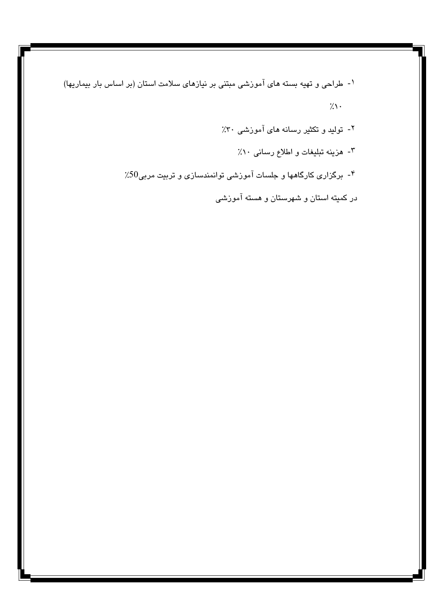۱- طراحی و تهیه بسته های آموزشی مبتنی بر نیازهای سلامت استان (بر اساس بار بیماریها)  $7.1 \cdot$ 

۲- تولید و تکثیر رسانه های آموزشی ۳۰٪

۰۳ هزینه تبلیغات و اطلاع رسانی ۰۱٪

- برگزاری کارگاهها و جلسات آموزشی توانمندسازی و تربیت مربی50٪

در کمیته استان و شهرستان و هسته آموزشی